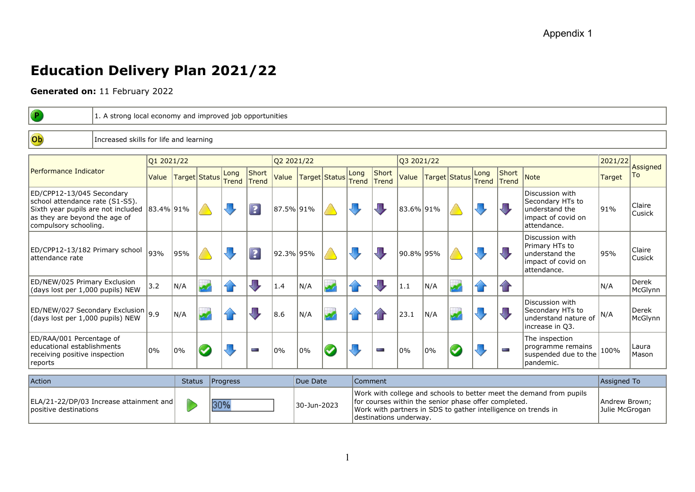## **Education Delivery Plan 2021/22**

**Generated on:** 11 February 2022

| $\left( \mathbf{P}\right)$                                                                                                                                             |                                        | 1. A strong local economy and improved job opportunities |     |               |                      |                         |           |     |               |                      |                       |           |     |                 |               |                              |                                                                                            |        |                  |
|------------------------------------------------------------------------------------------------------------------------------------------------------------------------|----------------------------------------|----------------------------------------------------------|-----|---------------|----------------------|-------------------------|-----------|-----|---------------|----------------------|-----------------------|-----------|-----|-----------------|---------------|------------------------------|--------------------------------------------------------------------------------------------|--------|------------------|
|                                                                                                                                                                        |                                        |                                                          |     |               |                      |                         |           |     |               |                      |                       |           |     |                 |               |                              |                                                                                            |        |                  |
| Ob                                                                                                                                                                     | Increased skills for life and learning |                                                          |     |               |                      |                         |           |     |               |                      |                       |           |     |                 |               |                              |                                                                                            |        |                  |
|                                                                                                                                                                        |                                        |                                                          |     |               |                      |                         |           |     |               |                      |                       |           |     |                 |               |                              |                                                                                            |        |                  |
|                                                                                                                                                                        |                                        | Q1 2021/22                                               |     |               |                      | Q2 2021/22              |           |     |               | Q3 2021/22           |                       |           |     | 2021/22         | Assigned      |                              |                                                                                            |        |                  |
| Performance Indicator                                                                                                                                                  |                                        | Value                                                    |     | Target Status | Long<br><b>Trend</b> | Short<br>Trend          | Value     |     | Target Status | Long<br><b>Trend</b> | Short<br><b>Trend</b> | Value     |     | Target   Status | Long<br>Trend | <b>Short</b><br><b>Trend</b> | <b>Note</b>                                                                                | Target | To               |
| ED/CPP12-13/045 Secondary<br>school attendance rate (S1-S5).<br>Sixth year pupils are not included 83.4% 91%<br>as they are beyond the age of<br>compulsory schooling. |                                        |                                                          |     |               |                      | $\overline{?}$          | 87.5% 91% |     |               |                      |                       | 83.6% 91% |     |                 |               |                              | Discussion with<br>Secondary HTs to<br>understand the<br>impact of covid on<br>attendance. | 191%   | Claire<br>Cusick |
| ED/CPP12-13/182 Primary school<br>lattendance rate                                                                                                                     |                                        | 93%                                                      | 95% |               |                      | $\overline{\mathbf{3}}$ | 92.3% 95% |     |               |                      |                       | 90.8% 95% |     |                 |               |                              | Discussion with<br>Primary HTs to<br>understand the<br>impact of covid on<br>attendance.   | 95%    | Claire<br>Cusick |
| ED/NEW/025 Primary Exclusion<br>(days lost per 1,000 pupils) NEW                                                                                                       |                                        | 3.2                                                      | N/A |               | 41                   | JT,                     | 1.4       | N/A |               |                      | $\sqrt{1}$            | 1.1       | N/A |                 | fi r          | $\mathbf{f}$                 |                                                                                            | N/A    | Derek<br>McGlynn |
| $\left $ ED/NEW/027 Secondary Exclusion $\left 9.9\right $<br>(days lost per 1,000 pupils) NEW                                                                         |                                        |                                                          | N/A |               |                      |                         | 8.6       | N/A |               |                      |                       | 23.1      | N/A |                 |               |                              | Discussion with<br>Secondary HTs to<br>understand nature of<br>increase in Q3.             | N/A    | Derek<br>McGlynn |
| ED/RAA/001 Percentage of<br>educational establishments<br>receiving positive inspection<br>reports                                                                     |                                        | 0%                                                       | 0%  |               |                      | the control             | 0%        | 0%  |               |                      | ÷                     | 0%        | 0%  |                 |               | <b>STATE</b>                 | The inspection<br>programme remains<br>suspended due to the<br>pandemic.                   | 100%   | Laura<br>Mason   |
|                                                                                                                                                                        |                                        |                                                          |     |               |                      |                         |           |     |               |                      |                       |           |     |                 |               |                              |                                                                                            |        |                  |

| <b>Action</b>                                                      | Status Progress | Due Date    | Comment                                                                                                                                                                                                                | Assigned To                     |
|--------------------------------------------------------------------|-----------------|-------------|------------------------------------------------------------------------------------------------------------------------------------------------------------------------------------------------------------------------|---------------------------------|
| ELA/21-22/DP/03 Increase attainment and <br>lpositive destinations | 30%             | 30-Jun-2023 | Work with college and schools to better meet the demand from pupils<br>for courses within the senior phase offer completed.<br>Work with partners in SDS to gather intelligence on trends in<br>destinations underway. | Andrew Brown;<br>Julie McGrogan |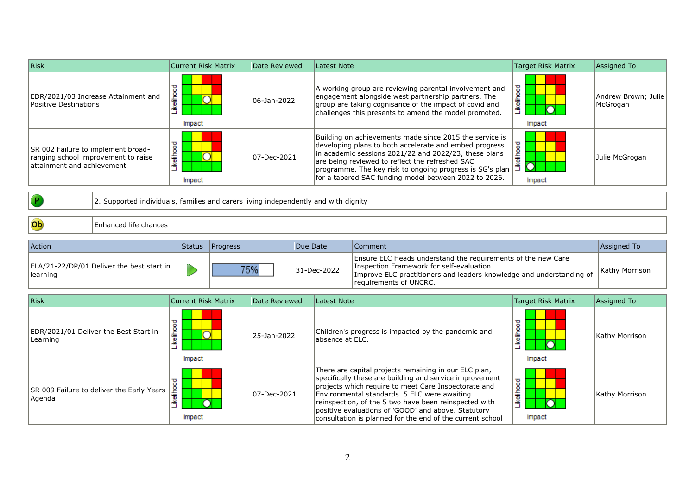| <b>Risk</b>                                                                                             |                                                                                     | <b>Current Risk Matrix</b><br>Date Reviewed |                 | <b>Latest Note</b>                                                                                                                                                                                                                                                                                                                                                                                    |                                                                                                                                                                                                                                                                                                                                                    | Target Risk Matrix   | Assigned To                     |  |
|---------------------------------------------------------------------------------------------------------|-------------------------------------------------------------------------------------|---------------------------------------------|-----------------|-------------------------------------------------------------------------------------------------------------------------------------------------------------------------------------------------------------------------------------------------------------------------------------------------------------------------------------------------------------------------------------------------------|----------------------------------------------------------------------------------------------------------------------------------------------------------------------------------------------------------------------------------------------------------------------------------------------------------------------------------------------------|----------------------|---------------------------------|--|
| Positive Destinations                                                                                   | EDR/2021/03 Increase Attainment and                                                 | Likelihood<br>Impact                        | 06-Jan-2022     |                                                                                                                                                                                                                                                                                                                                                                                                       | A working group are reviewing parental involvement and<br>engagement alongside west partnership partners. The<br>group are taking cognisance of the impact of covid and<br>challenges this presents to amend the model promoted.                                                                                                                   | Likelihood<br>Impact | Andrew Brown; Julie<br>McGrogan |  |
| SR 002 Failure to implement broad-<br>ranging school improvement to raise<br>attainment and achievement |                                                                                     | Likelihood<br>Impact                        | 07-Dec-2021     |                                                                                                                                                                                                                                                                                                                                                                                                       | Building on achievements made since 2015 the service is<br>developing plans to both accelerate and embed progress<br>in academic sessions 2021/22 and 2022/23, these plans<br>are being reviewed to reflect the refreshed SAC<br>programme. The key risk to ongoing progress is SG's plan<br>for a tapered SAC funding model between 2022 to 2026. | Likelihood<br>Impact | Julie McGrogan                  |  |
|                                                                                                         | 2. Supported individuals, families and carers living independently and with dignity |                                             |                 |                                                                                                                                                                                                                                                                                                                                                                                                       |                                                                                                                                                                                                                                                                                                                                                    |                      |                                 |  |
| Ob                                                                                                      | Enhanced life chances                                                               |                                             |                 |                                                                                                                                                                                                                                                                                                                                                                                                       |                                                                                                                                                                                                                                                                                                                                                    |                      |                                 |  |
| Action                                                                                                  |                                                                                     | Progress<br><b>Status</b>                   |                 | Due Date                                                                                                                                                                                                                                                                                                                                                                                              | Comment                                                                                                                                                                                                                                                                                                                                            |                      | Assigned To                     |  |
| learning                                                                                                | ELA/21-22/DP/01 Deliver the best start in                                           |                                             | 75%             | 31-Dec-2022                                                                                                                                                                                                                                                                                                                                                                                           | Ensure ELC Heads understand the requirements of the new Care<br>Inspection Framework for self-evaluation.<br>Improve ELC practitioners and leaders knowledge and understanding of<br>requirements of UNCRC.                                                                                                                                        |                      | Kathy Morrison                  |  |
| <b>Risk</b>                                                                                             |                                                                                     | <b>Current Risk Matrix</b>                  | Date Reviewed   | <b>Latest Note</b>                                                                                                                                                                                                                                                                                                                                                                                    |                                                                                                                                                                                                                                                                                                                                                    | Target Risk Matrix   | Assigned To                     |  |
| Likelihood<br>EDR/2021/01 Deliver the Best Start in<br>Learning<br>Impact                               |                                                                                     | 25-Jan-2022                                 | absence at ELC. | Children's progress is impacted by the pandemic and                                                                                                                                                                                                                                                                                                                                                   | Likelihood<br>Impact                                                                                                                                                                                                                                                                                                                               | Kathy Morrison       |                                 |  |
| Likelihood<br>SR 009 Failure to deliver the Early Years<br>Agenda<br>Impact                             |                                                                                     | 07-Dec-2021                                 |                 | There are capital projects remaining in our ELC plan,<br>specifically these are building and service improvement<br>projects which require to meet Care Inspectorate and<br>Environmental standards. 5 ELC were awaiting<br>reinspection, of the 5 two have been reinspected with<br>positive evaluations of 'GOOD' and above. Statutory<br>consultation is planned for the end of the current school | _ikelihood<br>Impact                                                                                                                                                                                                                                                                                                                               | Kathy Morrison       |                                 |  |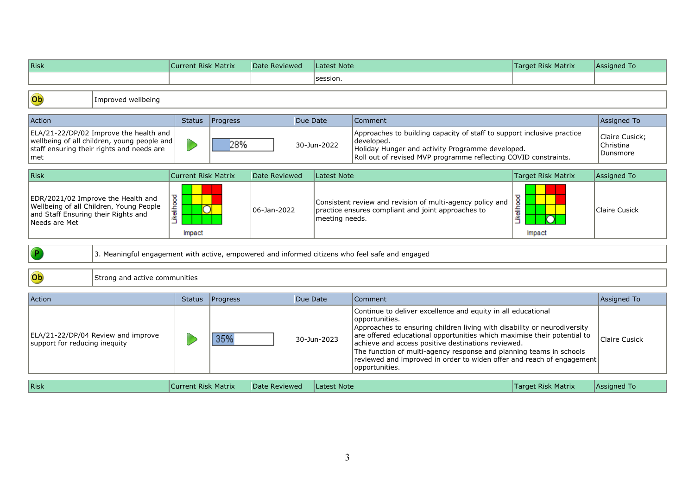| <b>Risk</b>                                                                                                                                |                                    | <b>Current Risk Matrix</b> |          |               | Date Reviewed<br><b>Latest Note</b> |                    |                                                                                                                                                                                                                                                                                                                                                                                                                                                               | <b>Target Risk Matrix</b>               | Assigned To          |
|--------------------------------------------------------------------------------------------------------------------------------------------|------------------------------------|----------------------------|----------|---------------|-------------------------------------|--------------------|---------------------------------------------------------------------------------------------------------------------------------------------------------------------------------------------------------------------------------------------------------------------------------------------------------------------------------------------------------------------------------------------------------------------------------------------------------------|-----------------------------------------|----------------------|
|                                                                                                                                            |                                    |                            |          |               |                                     | session.           |                                                                                                                                                                                                                                                                                                                                                                                                                                                               |                                         |                      |
| Ob                                                                                                                                         | Improved wellbeing                 |                            |          |               |                                     |                    |                                                                                                                                                                                                                                                                                                                                                                                                                                                               |                                         |                      |
| Action                                                                                                                                     |                                    | <b>Status</b>              | Progress |               | Due Date                            |                    | Comment                                                                                                                                                                                                                                                                                                                                                                                                                                                       |                                         | Assigned To          |
| ELA/21-22/DP/02 Improve the health and<br>wellbeing of all children, young people and<br>staff ensuring their rights and needs are<br> met |                                    |                            | 28%      |               | 30-Jun-2022                         |                    | Approaches to building capacity of staff to support inclusive practice<br>developed.<br>Holiday Hunger and activity Programme developed.<br>Roll out of revised MVP programme reflecting COVID constraints.                                                                                                                                                                                                                                                   | Claire Cusick;<br>Christina<br>Dunsmore |                      |
| Risk                                                                                                                                       |                                    | <b>Current Risk Matrix</b> |          | Date Reviewed |                                     | <b>Latest Note</b> |                                                                                                                                                                                                                                                                                                                                                                                                                                                               | <b>Target Risk Matrix</b>               | Assigned To          |
| EDR/2021/02 Improve the Health and<br>Wellbeing of all Children, Young People<br>and Staff Ensuring their Rights and<br>Needs are Met      |                                    | Likelihood<br>Impact       | 0        |               | 06-Jan-2022                         |                    | Consistent review and revision of multi-agency policy and<br>practice ensures compliant and joint approaches to<br>meeting needs.                                                                                                                                                                                                                                                                                                                             | Likelihood<br>Impact                    | <b>Claire Cusick</b> |
| $\left  \mathsf{P} \right $                                                                                                                |                                    |                            |          |               |                                     |                    | 3. Meaningful engagement with active, empowered and informed citizens who feel safe and engaged                                                                                                                                                                                                                                                                                                                                                               |                                         |                      |
| Ob                                                                                                                                         | Strong and active communities      |                            |          |               |                                     |                    |                                                                                                                                                                                                                                                                                                                                                                                                                                                               |                                         |                      |
| Action                                                                                                                                     |                                    | <b>Status</b>              | Progress |               | Due Date                            |                    | Comment                                                                                                                                                                                                                                                                                                                                                                                                                                                       |                                         | Assigned To          |
| support for reducing inequity                                                                                                              | ELA/21-22/DP/04 Review and improve |                            | 35%      |               |                                     | 30-Jun-2023        | Continue to deliver excellence and equity in all educational<br>opportunities.<br>Approaches to ensuring children living with disability or neurodiversity<br>are offered educational opportunities which maximise their potential to<br>achieve and access positive destinations reviewed.<br>The function of multi-agency response and planning teams in schools<br>reviewed and improved in order to widen offer and reach of engagement<br>opportunities. |                                         | Claire Cusick        |
| Risk                                                                                                                                       |                                    | <b>Current Risk Matrix</b> |          | Date Reviewed |                                     | <b>Latest Note</b> |                                                                                                                                                                                                                                                                                                                                                                                                                                                               | <b>Target Risk Matrix</b>               | Assigned To          |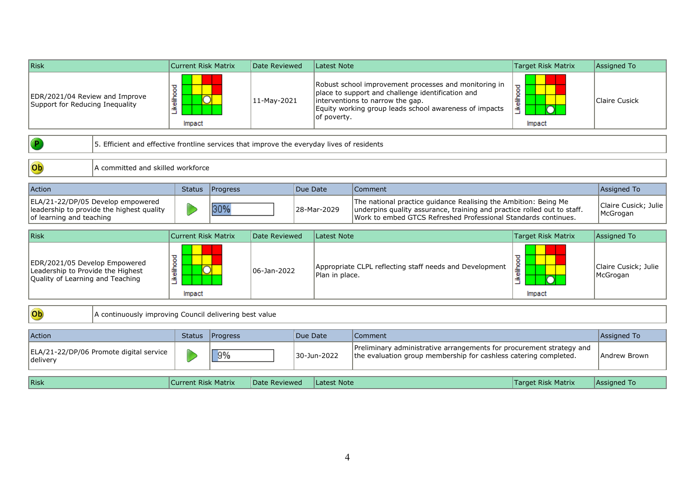| Risk                                                                                                       |                                                        | <b>Current Risk Matrix</b> | Date Reviewed |                                                                                                                                                                                                                         |             | <b>Latest Note</b>        |                                                                                                                                                                                                              | <b>Target Risk Matrix</b>        | <b>Assigned To</b>               |
|------------------------------------------------------------------------------------------------------------|--------------------------------------------------------|----------------------------|---------------|-------------------------------------------------------------------------------------------------------------------------------------------------------------------------------------------------------------------------|-------------|---------------------------|--------------------------------------------------------------------------------------------------------------------------------------------------------------------------------------------------------------|----------------------------------|----------------------------------|
| Likelihood<br>EDR/2021/04 Review and Improve<br>Support for Reducing Inequality<br>Impact                  |                                                        | 11-May-2021                |               | Robust school improvement processes and monitoring in<br>place to support and challenge identification and<br>interventions to narrow the gap.<br>Equity working group leads school awareness of impacts<br>of poverty. |             | <b>kelihood</b><br>Impact | Claire Cusick                                                                                                                                                                                                |                                  |                                  |
| 5. Efficient and effective frontline services that improve the everyday lives of residents                 |                                                        |                            |               |                                                                                                                                                                                                                         |             |                           |                                                                                                                                                                                                              |                                  |                                  |
| Ob                                                                                                         | A committed and skilled workforce                      |                            |               |                                                                                                                                                                                                                         |             |                           |                                                                                                                                                                                                              |                                  |                                  |
| Action                                                                                                     |                                                        | <b>Status</b>              | Progress      |                                                                                                                                                                                                                         | Due Date    |                           | Comment                                                                                                                                                                                                      |                                  | Assigned To                      |
| ELA/21-22/DP/05 Develop empowered<br>leadership to provide the highest quality<br>of learning and teaching |                                                        |                            | 30%           |                                                                                                                                                                                                                         | 28-Mar-2029 |                           | The national practice guidance Realising the Ambition: Being Me<br>underpins quality assurance, training and practice rolled out to staff.<br>Work to embed GTCS Refreshed Professional Standards continues. | Claire Cusick; Julie<br>McGrogan |                                  |
|                                                                                                            |                                                        |                            |               |                                                                                                                                                                                                                         |             |                           |                                                                                                                                                                                                              |                                  |                                  |
| <b>Risk</b>                                                                                                |                                                        | <b>Current Risk Matrix</b> |               | Date Reviewed                                                                                                                                                                                                           |             | <b>Latest Note</b>        |                                                                                                                                                                                                              | <b>Target Risk Matrix</b>        | Assigned To                      |
| EDR/2021/05 Develop Empowered<br>Leadership to Provide the Highest<br>Quality of Learning and Teaching     |                                                        | Likelihood<br>Impact       |               | 06-Jan-2022                                                                                                                                                                                                             |             | Plan in place.            | Appropriate CLPL reflecting staff needs and Development                                                                                                                                                      | Likelihood<br>Impact             | Claire Cusick: Julie<br>McGrogan |
| Ob                                                                                                         | A continuously improving Council delivering best value |                            |               |                                                                                                                                                                                                                         |             |                           |                                                                                                                                                                                                              |                                  |                                  |
| Action                                                                                                     |                                                        | <b>Status</b>              | Progress      |                                                                                                                                                                                                                         | Due Date    |                           | Comment                                                                                                                                                                                                      |                                  | Assigned To                      |
| delivery                                                                                                   | ELA/21-22/DP/06 Promote digital service                |                            | 9%            |                                                                                                                                                                                                                         |             | 30-Jun-2022               | Preliminary administrative arrangements for procurement strategy and<br>the evaluation group membership for cashless catering completed.                                                                     |                                  | Andrew Brown                     |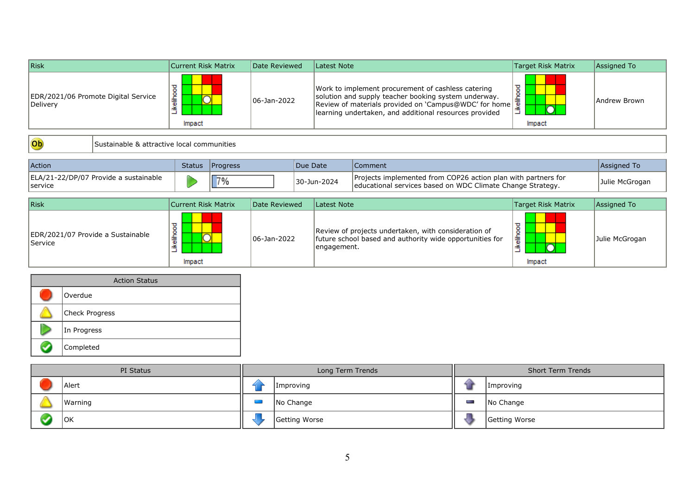| Risk                                            | Current Risk Matrix | Date Reviewed | Latest Note                                                                                                                                                                                                                                 | Target Risk Matrix | Assigned To  |
|-------------------------------------------------|---------------------|---------------|---------------------------------------------------------------------------------------------------------------------------------------------------------------------------------------------------------------------------------------------|--------------------|--------------|
| EDR/2021/06 Promote Digital Service<br>Delivery | ۶<br>흫<br>Impact    | 06-Jan-2022   | Work to implement procurement of cashless catering<br>solution and supply teacher booking system underway.<br>Review of materials provided on 'Campus@WDC' for home $\frac{1}{2}$<br>learning undertaken, and additional resources provided | ष्ठ<br>울<br>Impact | Andrew Brown |

Ob

Sustainable & attractive local communities

| Action                                            | <b>Status</b> | <b>IProgress</b> | Due Date    | Comment                                                                                                                      | Assigned To    |
|---------------------------------------------------|---------------|------------------|-------------|------------------------------------------------------------------------------------------------------------------------------|----------------|
| ELA/21-22/DP/07 Provide a sustainable<br> service |               | ⊤‰               | 30-Jun-2024 | Projects implemented from COP26 action plan with partners for<br>leducational services based on WDC Climate Change Strategy. | Julie McGrogan |

| Risk                                                | Current Risk Matrix | Date Reviewed | Latest Note                                                                                                                     | Target Risk Matrix               | Assigned To    |
|-----------------------------------------------------|---------------------|---------------|---------------------------------------------------------------------------------------------------------------------------------|----------------------------------|----------------|
| EDR/2021/07 Provide a Sustainable<br><b>Service</b> | 燾<br>Impact         | 106-Jan-2022  | Review of projects undertaken, with consideration of<br>future school based and authority wide opportunities for<br>engagement. | $\circ$<br>۰<br>흫<br>Æ<br>Impact | Julie McGrogan |



| PI Status |         |  | Long Term Trends | <b>Short Term Trends</b> |               |  |
|-----------|---------|--|------------------|--------------------------|---------------|--|
|           | Alert   |  | <i>Improving</i> |                          | Improving     |  |
|           | Warning |  | No Change        | Posts.                   | No Change     |  |
|           | OK      |  | Getting Worse    |                          | Getting Worse |  |